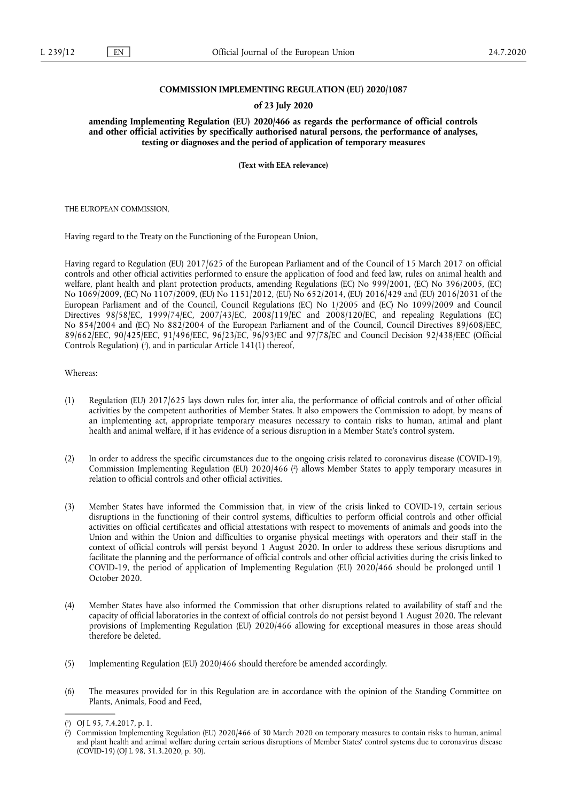## **COMMISSION IMPLEMENTING REGULATION (EU) 2020/1087**

## **of 23 July 2020**

**amending Implementing Regulation (EU) 2020/466 as regards the performance of official controls and other official activities by specifically authorised natural persons, the performance of analyses, testing or diagnoses and the period of application of temporary measures** 

**(Text with EEA relevance)** 

THE EUROPEAN COMMISSION,

Having regard to the Treaty on the Functioning of the European Union,

Having regard to Regulation (EU) 2017/625 of the European Parliament and of the Council of 15 March 2017 on official controls and other official activities performed to ensure the application of food and feed law, rules on animal health and welfare, plant health and plant protection products, amending Regulations (EC) No 999/2001, (EC) No 396/2005, (EC) No 1069/2009, (EC) No 1107/2009, (EU) No 1151/2012, (EU) No 652/2014, (EU) 2016/429 and (EU) 2016/2031 of the European Parliament and of the Council, Council Regulations (EC) No 1/2005 and (EC) No 1099/2009 and Council Directives 98/58/EC, 1999/74/EC, 2007/43/EC, 2008/119/EC and 2008/120/EC, and repealing Regulations (EC) No 854/2004 and (EC) No 882/2004 of the European Parliament and of the Council, Council Directives 89/608/EEC, 89/662/EEC, 90/425/EEC, 91/496/EEC, 96/23/EC, 96/93/EC and 97/78/EC and Council Decision 92/438/EEC (Official Controls Regulation) (<sup>1</sup>), and in particular Article 141(1) thereof,

## Whereas:

- (1) Regulation (EU) 2017/625 lays down rules for, inter alia, the performance of official controls and of other official activities by the competent authorities of Member States. It also empowers the Commission to adopt, by means of an implementing act, appropriate temporary measures necessary to contain risks to human, animal and plant health and animal welfare, if it has evidence of a serious disruption in a Member State's control system.
- (2) In order to address the specific circumstances due to the ongoing crisis related to coronavirus disease (COVID-19), Commission Implementing Regulation (EU) 2020/466 ( 2 ) allows Member States to apply temporary measures in relation to official controls and other official activities.
- (3) Member States have informed the Commission that, in view of the crisis linked to COVID-19, certain serious disruptions in the functioning of their control systems, difficulties to perform official controls and other official activities on official certificates and official attestations with respect to movements of animals and goods into the Union and within the Union and difficulties to organise physical meetings with operators and their staff in the context of official controls will persist beyond 1 August 2020. In order to address these serious disruptions and facilitate the planning and the performance of official controls and other official activities during the crisis linked to COVID-19, the period of application of Implementing Regulation (EU) 2020/466 should be prolonged until 1 October 2020.
- (4) Member States have also informed the Commission that other disruptions related to availability of staff and the capacity of official laboratories in the context of official controls do not persist beyond 1 August 2020. The relevant provisions of Implementing Regulation (EU) 2020/466 allowing for exceptional measures in those areas should therefore be deleted.
- (5) Implementing Regulation (EU) 2020/466 should therefore be amended accordingly.
- (6) The measures provided for in this Regulation are in accordance with the opinion of the Standing Committee on Plants, Animals, Food and Feed,

<sup>(</sup> 1 ) OJ L 95, 7.4.2017, p. 1.

<sup>(</sup> 2 ) Commission Implementing Regulation (EU) 2020/466 of 30 March 2020 on temporary measures to contain risks to human, animal and plant health and animal welfare during certain serious disruptions of Member States' control systems due to coronavirus disease (COVID-19) (OJ L 98, 31.3.2020, p. 30).